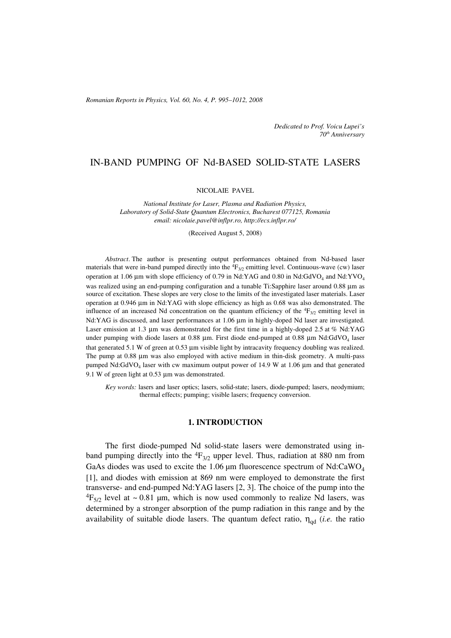*Romanian Reports in Physics, Vol. 60, No. 4, P. 995–1012, 2008*

*Dedicated to Prof. Voicu Lupei's 70th Anniversary*

# IN-BAND PUMPING OF Nd-BASED SOLID-STATE LASERS

#### NICOLAIE PAVEL

*National Institute for Laser, Plasma and Radiation Physics, Laboratory of Solid-State Quantum Electronics, Bucharest 077125, Romania email: nicolaie.pavel@inflpr.ro, http://ecs.inflpr.ro/*

(Received August 5, 2008)

*Abstract*. The author is presenting output performances obtained from Nd-based laser materials that were in-band pumped directly into the  ${}^{4}F_{3/2}$  emitting level. Continuous-wave (cw) laser operation at 1.06 μm with slope efficiency of 0.79 in Nd:YAG and 0.80 in Nd:GdVO<sub>4</sub> and Nd:YVO<sub>4</sub> was realized using an end-pumping configuration and a tunable Ti:Sapphire laser around 0.88 μm as source of excitation. These slopes are very close to the limits of the investigated laser materials. Laser operation at 0.946 μm in Nd:YAG with slope efficiency as high as 0.68 was also demonstrated. The influence of an increased Nd concentration on the quantum efficiency of the  ${}^4F_{3/2}$  emitting level in Nd:YAG is discussed, and laser performances at 1.06 μm in highly-doped Nd laser are investigated. Laser emission at 1.3 μm was demonstrated for the first time in a highly-doped 2.5 at % Nd:YAG under pumping with diode lasers at 0.88  $\mu$ m. First diode end-pumped at 0.88  $\mu$ m Nd:GdVO<sub>4</sub> laser that generated 5.1 W of green at 0.53 μm visible light by intracavity frequency doubling was realized. The pump at 0.88 μm was also employed with active medium in thin-disk geometry. A multi-pass pumped  $Nd:GdVO<sub>4</sub>$  laser with cw maximum output power of 14.9 W at 1.06 µm and that generated 9.1 W of green light at 0.53 μm was demonstrated.

*Key words:* lasers and laser optics; lasers, solid-state; lasers, diode-pumped; lasers, neodymium; thermal effects; pumping; visible lasers; frequency conversion.

## **1. INTRODUCTION**

The first diode-pumped Nd solid-state lasers were demonstrated using inband pumping directly into the  ${}^{4}F_{3/2}$  upper level. Thus, radiation at 880 nm from GaAs diodes was used to excite the 1.06  $\mu$ m fluorescence spectrum of Nd:CaWO<sub>4</sub> [1], and diodes with emission at 869 nm were employed to demonstrate the first transverse- and end-pumped Nd:YAG lasers [2, 3]. The choice of the pump into the  ${}^{4}F_{5/2}$  level at ~0.81 µm, which is now used commonly to realize Nd lasers, was determined by a stronger absorption of the pump radiation in this range and by the availability of suitable diode lasers. The quantum defect ratio,  $\eta_{\text{ad}}$  (*i.e.* the ratio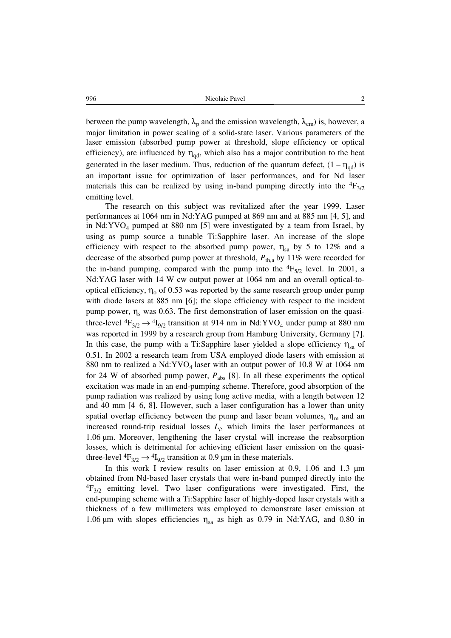between the pump wavelength,  $\lambda_p$  and the emission wavelength,  $\lambda_{em}$ ) is, however, a major limitation in power scaling of a solid-state laser. Various parameters of the laser emission (absorbed pump power at threshold, slope efficiency or optical efficiency), are influenced by  $\eta_{\text{nd}}$ , which also has a major contribution to the heat generated in the laser medium. Thus, reduction of the quantum defect,  $(1 - \eta_{\text{od}})$  is an important issue for optimization of laser performances, and for Nd laser materials this can be realized by using in-band pumping directly into the  ${}^{4}F_{3/2}$ emitting level.

The research on this subject was revitalized after the year 1999. Laser performances at 1064 nm in Nd:YAG pumped at 869 nm and at 885 nm [4, 5], and in  $Nd:YVO<sub>4</sub>$  pumped at 880 nm [5] were investigated by a team from Israel, by using as pump source a tunable Ti:Sapphire laser. An increase of the slope efficiency with respect to the absorbed pump power,  $\eta_{sa}$  by 5 to 12% and a decrease of the absorbed pump power at threshold,  $P_{th,a}$  by 11% were recorded for the in-band pumping, compared with the pump into the  ${}^{4}F_{5/2}$  level. In 2001, a Nd:YAG laser with 14 W cw output power at 1064 nm and an overall optical-tooptical efficiency,  $\eta_0$  of 0.53 was reported by the same research group under pump with diode lasers at 885 nm [6]; the slope efficiency with respect to the incident pump power,  $\eta_s$  was 0.63. The first demonstration of laser emission on the quasithree-level  ${}^{4}F_{3/2} \rightarrow {}^{4}I_{9/2}$  transition at 914 nm in Nd:YVO<sub>4</sub> under pump at 880 nm was reported in 1999 by a research group from Hamburg University, Germany [7]. In this case, the pump with a Ti:Sapphire laser yielded a slope efficiency  $\eta_{sa}$  of 0.51. In 2002 a research team from USA employed diode lasers with emission at 880 nm to realized a  $Nd:YVO<sub>4</sub>$  laser with an output power of 10.8 W at 1064 nm for 24 W of absorbed pump power,  $P_{\text{abs}}$  [8]. In all these experiments the optical excitation was made in an end-pumping scheme. Therefore, good absorption of the pump radiation was realized by using long active media, with a length between 12 and 40 mm [4–6, 8]. However, such a laser configuration has a lower than unity spatial overlap efficiency between the pump and laser beam volumes,  $\eta_m$  and an increased round-trip residual losses  $L_i$ , which limits the laser performances at 1.06 m. Moreover, lengthening the laser crystal will increase the reabsorption losses, which is detrimental for achieving efficient laser emission on the quasithree-level  ${}^{4}F_{3/2} \rightarrow {}^{4}I_{9/2}$  transition at 0.9 µm in these materials.

In this work I review results on laser emission at  $0.9$ ,  $1.06$  and  $1.3 \mu m$ obtained from Nd-based laser crystals that were in-band pumped directly into the  ${}^{4}F_{3/2}$  emitting level. Two laser configurations were investigated. First, the end-pumping scheme with a Ti:Sapphire laser of highly-doped laser crystals with a thickness of a few millimeters was employed to demonstrate laser emission at 1.06 µm with slopes efficiencies  $\eta_{sa}$  as high as 0.79 in Nd:YAG, and 0.80 in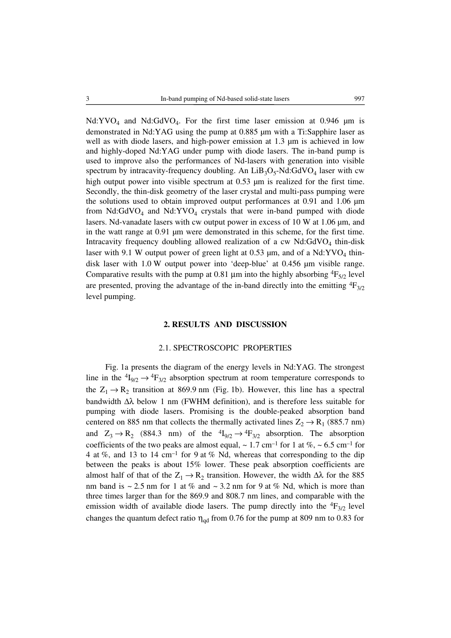Nd:YVO<sub>4</sub> and Nd:GdVO<sub>4</sub>. For the first time laser emission at 0.946  $\mu$ m is demonstrated in Nd:YAG using the pump at 0.885 µm with a Ti:Sapphire laser as well as with diode lasers, and high-power emission at  $1.3 \mu m$  is achieved in low and highly-doped Nd:YAG under pump with diode lasers. The in-band pump is used to improve also the performances of Nd-lasers with generation into visible spectrum by intracavity-frequency doubling. An  $LiB_3O_5-Nd:GdVO_4$  laser with cw high output power into visible spectrum at  $0.53 \mu m$  is realized for the first time. Secondly, the thin-disk geometry of the laser crystal and multi-pass pumping were the solutions used to obtain improved output performances at  $0.91$  and  $1.06 \mu m$ from  $Nd:GdVO<sub>4</sub>$  and  $Nd:YVO<sub>4</sub>$  crystals that were in-band pumped with diode lasers. Nd-vanadate lasers with cw output power in excess of  $10 \text{ W}$  at  $1.06 \mu \text{m}$ , and in the watt range at 0.91 µm were demonstrated in this scheme, for the first time. Intracavity frequency doubling allowed realization of a cw  $Nd:GdVO<sub>4</sub>$  thin-disk laser with 9.1 W output power of green light at 0.53  $\mu$ m, and of a Nd:YVO<sub>4</sub> thindisk laser with  $1.0 \text{ W}$  output power into 'deep-blue' at  $0.456 \mu m$  visible range. Comparative results with the pump at 0.81  $\mu$ m into the highly absorbing  ${}^{4}F_{5/2}$  level are presented, proving the advantage of the in-band directly into the emitting  ${}^4F_{3/2}$ level pumping.

### **2. RESULTS AND DISCUSSION**

## 2.1. SPECTROSCOPIC PROPERTIES

Fig. 1a presents the diagram of the energy levels in Nd:YAG. The strongest line in the  ${}^{4}I_{9/2} \rightarrow {}^{4}F_{3/2}$  absorption spectrum at room temperature corresponds to the  $Z_1 \rightarrow R_2$  transition at 869.9 nm (Fig. 1b). However, this line has a spectral bandwidth  $\Delta\lambda$  below 1 nm (FWHM definition), and is therefore less suitable for pumping with diode lasers. Promising is the double-peaked absorption band centered on 885 nm that collects the thermally activated lines  $Z_2 \rightarrow R_1$  (885.7 nm) and  $Z_3 \rightarrow R_2$  (884.3 nm) of the  ${}^4I_{9/2} \rightarrow {}^4F_{3/2}$  absorption. The absorption coefficients of the two peaks are almost equal,  $\sim 1.7$  cm<sup>-1</sup> for 1 at %,  $\sim 6.5$  cm<sup>-1</sup> for 4 at %, and 13 to 14 cm<sup>-1</sup> for 9 at % Nd, whereas that corresponding to the dip between the peaks is about 15% lower. These peak absorption coefficients are almost half of that of the  $Z_1 \rightarrow R_2$  transition. However, the width  $\Delta\lambda$  for the 885 nm band is  $\sim$  2.5 nm for 1 at % and  $\sim$  3.2 nm for 9 at % Nd, which is more than three times larger than for the 869.9 and 808*.*7 nm lines, and comparable with the emission width of available diode lasers. The pump directly into the  ${}^{4}F_{3/2}$  level changes the quantum defect ratio  $\eta_{\text{ad}}$  from 0.76 for the pump at 809 nm to 0.83 for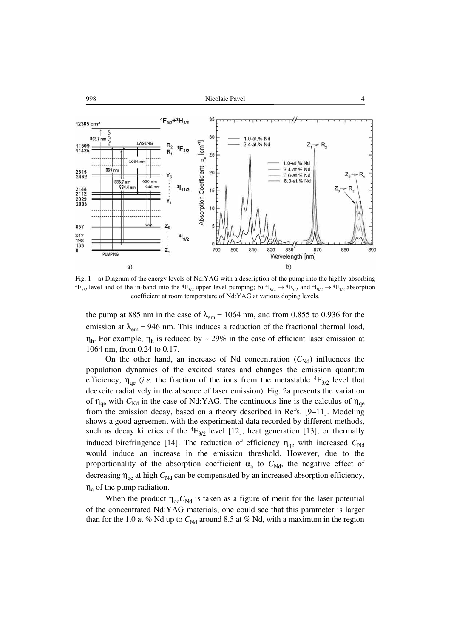

Fig. 1 – a) Diagram of the energy levels of Nd:YAG with a description of the pump into the highly-absorbing  ${}^{4}F_{5/2}$  level and of the in-band into the  ${}^{4}F_{3/2}$  upper level pumping; b)  ${}^{4}I_{9/2} \rightarrow {}^{4}F_{5/2}$  and  ${}^{4}I_{9/2} \rightarrow {}^{4}F_{3/2}$  absorption coefficient at room temperature of Nd:YAG at various doping levels.

the pump at 885 nm in the case of  $\lambda_{em} = 1064$  nm, and from 0.855 to 0.936 for the emission at  $\lambda_{em}$  = 946 nm. This induces a reduction of the fractional thermal load,  $η<sub>h</sub>$ . For example,  $η<sub>h</sub>$  is reduced by ~ 29% in the case of efficient laser emission at 1064 nm, from 0.24 to 0.17.

On the other hand, an increase of Nd concentration  $(C_{Nd})$  influences the population dynamics of the excited states and changes the emission quantum efficiency,  $\eta_{\text{qe}}$  (*i.e.* the fraction of the ions from the metastable  ${}^4F_{3/2}$  level that deexcite radiatively in the absence of laser emission). Fig. 2a presents the variation of  $\eta_{\text{de}}$  with  $C_{\text{Nd}}$  in the case of Nd:YAG. The continuous line is the calculus of  $\eta_{\text{de}}$ from the emission decay, based on a theory described in Refs. [9–11]. Modeling shows a good agreement with the experimental data recorded by different methods, such as decay kinetics of the  ${}^{4}F_{3/2}$  level [12], heat generation [13], or thermally induced birefringence [14]. The reduction of efficiency  $\eta_{\text{de}}$  with increased  $C_{\text{Nd}}$ would induce an increase in the emission threshold. However, due to the proportionality of the absorption coefficient  $\alpha_a$  to  $C_{Nd}$ , the negative effect of decreasing  $\eta_{\text{ae}}$  at high  $C_{\text{Nd}}$  can be compensated by an increased absorption efficiency,  $\eta_a$  of the pump radiation.

When the product  $\eta_{qe}C_{Nd}$  is taken as a figure of merit for the laser potential of the concentrated Nd:YAG materials, one could see that this parameter is larger than for the 1.0 at % Nd up to  $C_{Nd}$  around 8.5 at % Nd, with a maximum in the region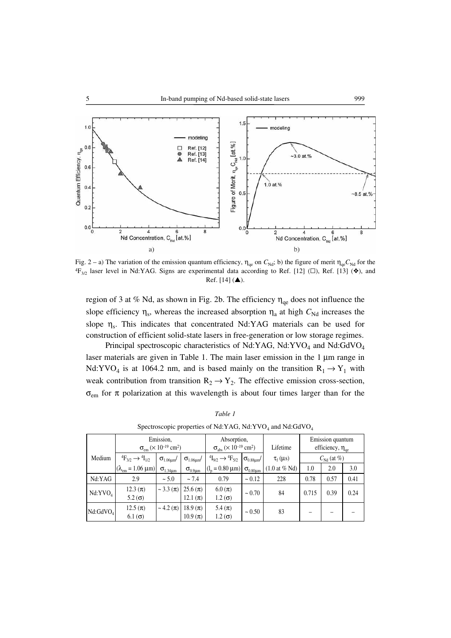

Fig. 2 – a) The variation of the emission quantum efficiency,  $η_{\alpha}$  on  $C_{\text{Nd}}$ ; b) the figure of merit  $η_{\alpha}C_{\text{Nd}}$  for the  ${}^{4}F_{3/2}$  laser level in Nd:YAG. Signs are experimental data according to Ref. [12] ( $\square$ ), Ref. [13] ( $\diamond$ ), and  $Ref. [14] (A).$ 

region of 3 at % Nd, as shown in Fig. 2b. The efficiency  $\eta_{\text{ae}}$  does not influence the slope efficiency  $\eta_s$ , whereas the increased absorption  $\eta_a$  at high  $C_{Nd}$  increases the slope  $\eta_s$ . This indicates that concentrated Nd:YAG materials can be used for construction of efficient solid-state lasers in free-generation or low storage regimes.

Principal spectroscopic characteristics of Nd:YAG, Nd:YVO<sub>4</sub> and Nd:GdVO<sub>4</sub> laser materials are given in Table 1. The main laser emission in the 1 μm range in Nd:YVO<sub>4</sub> is at 1064.2 nm, and is based mainly on the transition  $R_1 \rightarrow Y_1$  with weak contribution from transition  $R_2 \rightarrow Y_2$ . The effective emission cross-section,  $\sigma_{\rm em}$  for  $\pi$  polarization at this wavelength is about four times larger than for the

| $\alpha$ and $\alpha$ of $\alpha$ $\beta$ of $\alpha$ of $\alpha$ is $\alpha$ is $\alpha$ is $\alpha$ is $\alpha$ is $\alpha$ is $\alpha$ is $\alpha$ if $\alpha$ is a set if $\alpha$ is a set if $\alpha$ is a set if $\alpha$ is a set if $\alpha$ is a set if $\alpha$ is a set if $\alpha$ is a set if |                                                                       |                        |                              |                                                                |                                |                                   |                                             |      |      |  |
|-------------------------------------------------------------------------------------------------------------------------------------------------------------------------------------------------------------------------------------------------------------------------------------------------------------|-----------------------------------------------------------------------|------------------------|------------------------------|----------------------------------------------------------------|--------------------------------|-----------------------------------|---------------------------------------------|------|------|--|
|                                                                                                                                                                                                                                                                                                             | Emission,<br>$\sigma_{\rm em}$ (× 10 <sup>-19</sup> cm <sup>2</sup> ) |                        |                              | Absorption,<br>$\sigma_{\text{abs}} (8.10^{-19} \text{ cm}^2)$ |                                | Lifetime                          | Emission quantum<br>efficiency, $\eta_{qe}$ |      |      |  |
| Medium                                                                                                                                                                                                                                                                                                      | ${}^{4}F_{3/2} \rightarrow {}^{4}I_{1/2}$                             | $\sigma_{1.06\mu m}$ / | $\sigma_{1.06\mu m}$ /       | ${}^{4}I_{9/2} \rightarrow {}^{4}F_{5/2}$                      | $\sigma_{0.88\mu\text{m}}$ / ' | $\tau_f(\mu s)$                   | $C_{\rm Nd}$ (at %)                         |      |      |  |
|                                                                                                                                                                                                                                                                                                             | $(\lambda_{em} = 1.06 \,\mu m)$                                       | $\sigma_{1.34\mu m}$   | $\sigma_{0.9\mu m}$          | $(1n = 0.80 \mu m) \sigma_{0.80 \mu m}$                        |                                | $(1.0 \text{ at } \% \text{ Nd})$ | 1.0                                         | 2.0  | 3.0  |  |
| Nd:YAG                                                                                                                                                                                                                                                                                                      | 2.9                                                                   | $\sim$ 5.0             | ~1.4                         | 0.79                                                           | $\sim 0.12$                    | 228                               | 0.78                                        | 0.57 | 0.41 |  |
| Nd:YVO <sub>4</sub>                                                                                                                                                                                                                                                                                         | $12.3 (\pi)$<br>5.2 $\sigma$ )                                        | $\sim 3.3 (\pi)$       | $25.6 (\pi)$<br>12.1 $(\pi)$ | $6.0 \, (\pi)$<br>$1.2(\sigma)$                                | $\sim 0.70$                    | 84                                | 0.715                                       | 0.39 | 0.24 |  |
| Nd:GdVO <sub>4</sub>                                                                                                                                                                                                                                                                                        | $12.5 (\pi)$<br>$6.1$ ( $\sigma$ )                                    | $\sim 4.2 (\pi)$       | $18.9 (\pi)$<br>$10.9 (\pi)$ | 5.4 $(\pi)$<br>$1.2(\sigma)$                                   | $\sim 0.50$                    | 83                                |                                             |      |      |  |

*Table 1* Spectroscopic properties of Nd:YAG, Nd:YVO4 and Nd:GdVO4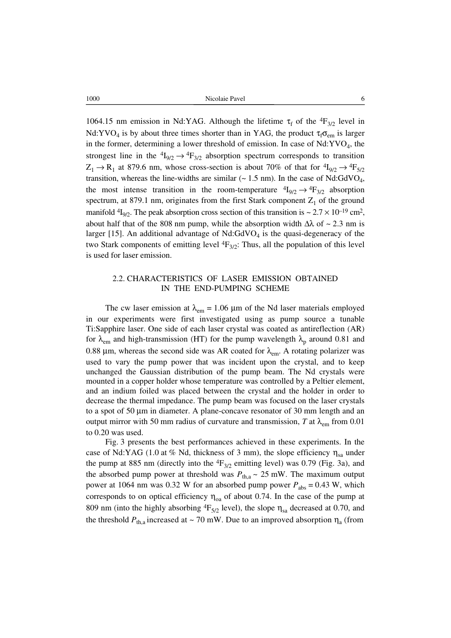1064.15 nm emission in Nd:YAG. Although the lifetime  $\tau_f$  of the  ${}^4F_{3/2}$  level in Nd:YVO<sub>4</sub> is by about three times shorter than in YAG, the product  $\tau_f \sigma_{em}$  is larger in the former, determining a lower threshold of emission. In case of  $Nd:YVO<sub>4</sub>$ , the strongest line in the  ${}^{4}I_{9/2} \rightarrow {}^{4}F_{3/2}$  absorption spectrum corresponds to transition  $Z_1 \rightarrow R_1$  at 879.6 nm, whose cross-section is about 70% of that for  ${}^4I_{9/2} \rightarrow {}^4F_{5/2}$ transition, whereas the line-widths are similar  $(\sim 1.5 \text{ nm})$ . In the case of Nd:GdVO<sub>4</sub>, the most intense transition in the room-temperature  ${}^{4}I_{9/2} \rightarrow {}^{4}F_{3/2}$  absorption spectrum, at 879.1 nm, originates from the first Stark component  $Z_1$  of the ground manifold  ${}^{4}I_{9/2}$ . The peak absorption cross section of this transition is  $\sim 2.7 \times 10^{-19}$  cm<sup>2</sup>, about half that of the 808 nm pump, while the absorption width  $\Delta\lambda$  of ~ 2.3 nm is larger [15]. An additional advantage of  $Nd:GdVO<sub>4</sub>$  is the quasi-degeneracy of the two Stark components of emitting level  ${}^{4}F_{3/2}$ : Thus, all the population of this level is used for laser emission.

# 2.2. CHARACTERISTICS OF LASER EMISSION OBTAINED IN THE END-PUMPING SCHEME

The cw laser emission at  $\lambda_{em} = 1.06 \mu m$  of the Nd laser materials employed in our experiments were first investigated using as pump source a tunable Ti:Sapphire laser. One side of each laser crystal was coated as antireflection (AR) for  $\lambda_{em}$  and high-transmission (HT) for the pump wavelength  $\lambda_p$  around 0.81 and 0.88 μm, whereas the second side was AR coated for  $\lambda_{em}$ . A rotating polarizer was used to vary the pump power that was incident upon the crystal, and to keep unchanged the Gaussian distribution of the pump beam. The Nd crystals were mounted in a copper holder whose temperature was controlled by a Peltier element, and an indium foiled was placed between the crystal and the holder in order to decrease the thermal impedance. The pump beam was focused on the laser crystals to a spot of 50 μm in diameter. A plane-concave resonator of 30 mm length and an output mirror with 50 mm radius of curvature and transmission, *T* at  $\lambda_{em}$  from 0.01 to 0.20 was used.

Fig. 3 presents the best performances achieved in these experiments. In the case of Nd:YAG (1.0 at % Nd, thickness of 3 mm), the slope efficiency  $\eta_{sa}$  under the pump at 885 nm (directly into the  ${}^{4}F_{3/2}$  emitting level) was 0.79 (Fig. 3a), and the absorbed pump power at threshold was  $P_{th,a} \sim 25$  mW. The maximum output power at 1064 nm was 0.32 W for an absorbed pump power  $P_{\text{abs}} = 0.43$  W, which corresponds to on optical efficiency  $\eta_{oa}$  of about 0.74. In the case of the pump at 809 nm (into the highly absorbing  ${}^{4}F_{5/2}$  level), the slope  $\eta_{sa}$  decreased at 0.70, and the threshold  $P_{th,a}$  increased at ~ 70 mW. Due to an improved absorption  $\eta_a$  (from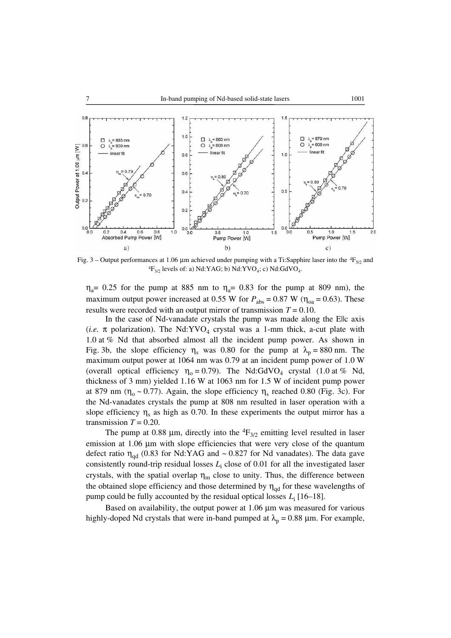

Fig. 3 – Output performances at 1.06  $\mu$ m achieved under pumping with a Ti:Sapphire laser into the <sup>4</sup>F<sub>5/2</sub> and  ${}^{4}F_{3/2}$  levels of: a) Nd:YAG; b) Nd:YVO<sub>4</sub>; c) Nd:GdVO<sub>4</sub>.

 $\eta_a$ = 0.25 for the pump at 885 nm to  $\eta_a$ = 0.83 for the pump at 809 nm), the maximum output power increased at 0.55 W for  $P_{\text{abs}} = 0.87 \text{ W}$  ( $\eta_{\text{oa}} = 0.63$ ). These results were recorded with an output mirror of transmission *T* = 0.10.

In the case of Nd-vanadate crystals the pump was made along the Ellc axis (*i.e.*  $\pi$  polarization). The Nd:YVO<sub>4</sub> crystal was a 1-mm thick, a-cut plate with 1.0 at % Nd that absorbed almost all the incident pump power. As shown in Fig. 3b, the slope efficiency  $\eta_s$  was 0.80 for the pump at  $\lambda_p = 880$  nm. The maximum output power at 1064 nm was 0.79 at an incident pump power of 1.0 W (overall optical efficiency  $\eta_0 = 0.79$ ). The Nd:GdVO<sub>4</sub> crystal (1.0 at % Nd, thickness of 3 mm) yielded 1.16 W at 1063 nm for 1.5 W of incident pump power at 879 nm ( $\eta_0 \sim 0.77$ ). Again, the slope efficiency  $\eta_s$  reached 0.80 (Fig. 3c). For the Nd-vanadates crystals the pump at 808 nm resulted in laser operation with a slope efficiency  $\eta_s$  as high as 0.70. In these experiments the output mirror has a transmission  $T = 0.20$ .

The pump at 0.88 μm, directly into the  ${}^4F_{3/2}$  emitting level resulted in laser emission at 1.06 μm with slope efficiencies that were very close of the quantum defect ratio  $\eta_{qd}$  (0.83 for Nd:YAG and ~ 0.827 for Nd vanadates). The data gave consistently round-trip residual losses  $L_i$  close of 0.01 for all the investigated laser crystals, with the spatial overlap  $\eta_m$  close to unity. Thus, the difference between the obtained slope efficiency and those determined by  $\eta_{\text{ad}}$  for these wavelengths of pump could be fully accounted by the residual optical losses *L*<sup>i</sup> [16–18].

Based on availability, the output power at 1.06 μm was measured for various highly-doped Nd crystals that were in-band pumped at  $\lambda_p = 0.88$  μm. For example,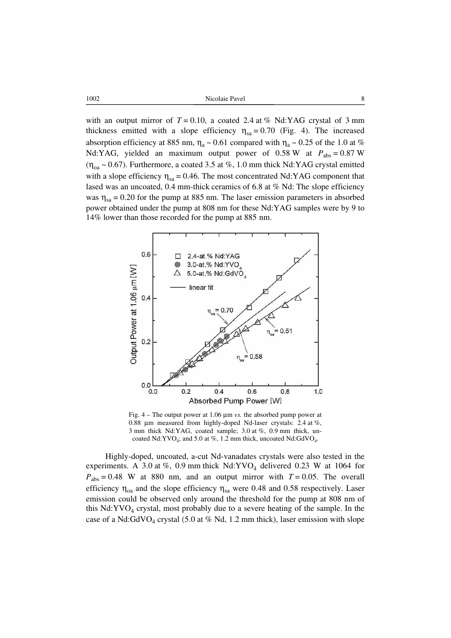| 1002 | Nicolaie Pavel<br>. |
|------|---------------------|
|      |                     |

with an output mirror of  $T = 0.10$ , a coated 2.4 at % Nd:YAG crystal of 3 mm thickness emitted with a slope efficiency  $\eta_{sa} = 0.70$  (Fig. 4). The increased absorption efficiency at 885 nm,  $\eta_a \sim 0.61$  compared with  $\eta_a \sim 0.25$  of the 1.0 at % Nd:YAG, yielded an maximum output power of 0.58 W at  $P_{\text{abs}} = 0.87 \text{ W}$  $(\eta_{oa} \sim 0.67)$ . Furthermore, a coated 3.5 at %, 1.0 mm thick Nd:YAG crystal emitted with a slope efficiency  $\eta_{sa} = 0.46$ . The most concentrated Nd:YAG component that lased was an uncoated, 0.4 mm-thick ceramics of 6.8 at % Nd: The slope efficiency was  $\eta_{sa} = 0.20$  for the pump at 885 nm. The laser emission parameters in absorbed power obtained under the pump at 808 nm for these Nd:YAG samples were by 9 to 14% lower than those recorded for the pump at 885 nm.



Fig. 4 – The output power at 1.06 μm *vs.* the absorbed pump power at 0.88 μm measured from highly-doped Nd-laser crystals: 2.4 at %, 3 mm thick Nd:YAG, coated sample; 3.0 at %, 0.9 mm thick, uncoated Nd:YVO<sub>4</sub>; and 5.0 at %, 1.2 mm thick, uncoated Nd:GdVO<sub>4</sub>.

Highly-doped, uncoated, a-cut Nd-vanadates crystals were also tested in the experiments. A 3.0 at %, 0.9 mm thick  $Nd:YVO<sub>4</sub>$  delivered 0.23 W at 1064 for  $P_{\text{abs}} = 0.48$  W at 880 nm, and an output mirror with  $T = 0.05$ . The overall efficiency  $\eta_{0a}$  and the slope efficiency  $\eta_{sa}$  were 0.48 and 0.58 respectively. Laser emission could be observed only around the threshold for the pump at 808 nm of this  $Nd:YVO<sub>4</sub> crystal, most probably due to a severe heating of the sample. In the$ case of a Nd:GdVO<sub>4</sub> crystal (5.0 at % Nd, 1.2 mm thick), laser emission with slope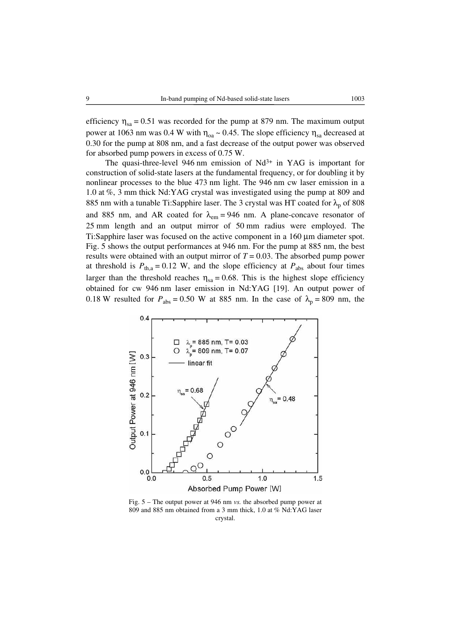efficiency  $\eta_{sa} = 0.51$  was recorded for the pump at 879 nm. The maximum output power at 1063 nm was 0.4 W with  $\eta_{oa} \sim 0.45$ . The slope efficiency  $\eta_{sa}$  decreased at 0.30 for the pump at 808 nm, and a fast decrease of the output power was observed for absorbed pump powers in excess of 0.75 W.

The quasi-three-level 946 nm emission of  $Nd^{3+}$  in YAG is important for construction of solid-state lasers at the fundamental frequency, or for doubling it by nonlinear processes to the blue 473 nm light. The 946 nm cw laser emission in a 1.0 at %, 3 mm thick Nd:YAG crystal was investigated using the pump at 809 and 885 nm with a tunable Ti:Sapphire laser. The 3 crystal was HT coated for  $\lambda_p$  of 808 and 885 nm, and AR coated for  $\lambda_{em} = 946$  nm. A plane-concave resonator of 25 mm length and an output mirror of 50 mm radius were employed. The Ti:Sapphire laser was focused on the active component in a 160 μm diameter spot. Fig. 5 shows the output performances at 946 nm. For the pump at 885 nm, the best results were obtained with an output mirror of  $T = 0.03$ . The absorbed pump power at threshold is  $P_{th,a} = 0.12$  W, and the slope efficiency at  $P_{abs}$  about four times larger than the threshold reaches  $\eta_{sa} = 0.68$ . This is the highest slope efficiency obtained for cw 946 nm laser emission in Nd:YAG [19]. An output power of 0.18 W resulted for  $P_{\text{abs}} = 0.50$  W at 885 nm. In the case of  $\lambda_p = 809$  nm, the



Fig. 5 – The output power at 946 nm *vs.* the absorbed pump power at 809 and 885 nm obtained from a 3 mm thick, 1.0 at % Nd:YAG laser crystal.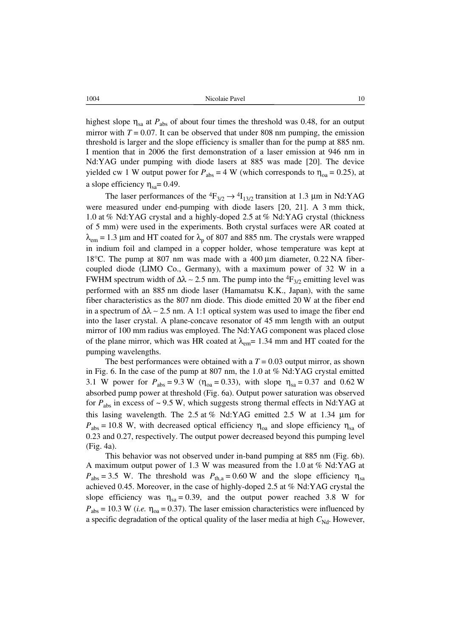1004 1004 Nicolaie Pavel 10

highest slope  $\eta_{sa}$  at  $P_{abs}$  of about four times the threshold was 0.48, for an output mirror with  $T = 0.07$ . It can be observed that under 808 nm pumping, the emission threshold is larger and the slope efficiency is smaller than for the pump at 885 nm. I mention that in 2006 the first demonstration of a laser emission at 946 nm in Nd:YAG under pumping with diode lasers at 885 was made [20]. The device yielded cw 1 W output power for  $P_{\text{abs}} = 4$  W (which corresponds to  $\eta_{\text{oa}} = 0.25$ ), at a slope efficiency  $\eta_{sa}$ = 0.49.

The laser performances of the  ${}^4F_{3/2} \rightarrow {}^4I_{13/2}$  transition at 1.3 µm in Nd:YAG were measured under end-pumping with diode lasers [20, 21]. A 3 mm thick, 1.0 at % Nd:YAG crystal and a highly-doped 2.5 at % Nd:YAG crystal (thickness of 5 mm) were used in the experiments. Both crystal surfaces were AR coated at  $\lambda_{em}$  = 1.3 µm and HT coated for  $\lambda_p$  of 807 and 885 nm. The crystals were wrapped in indium foil and clamped in a copper holder, whose temperature was kept at 18°C. The pump at 807 nm was made with a 400 μm diameter, 0*.*22 NA fibercoupled diode (LIMO Co., Germany), with a maximum power of 32 W in a FWHM spectrum width of  $\Delta\lambda \sim 2.5$  nm. The pump into the <sup>4</sup>F<sub>3/2</sub> emitting level was performed with an 885 nm diode laser (Hamamatsu K.K., Japan), with the same fiber characteristics as the 807 nm diode. This diode emitted 20 W at the fiber end in a spectrum of  $\Delta\lambda \sim 2.5$  nm. A 1:1 optical system was used to image the fiber end into the laser crystal. A plane-concave resonator of 45 mm length with an output mirror of 100 mm radius was employed. The Nd:YAG component was placed close of the plane mirror, which was HR coated at  $\lambda_{em}$  = 1.34 mm and HT coated for the pumping wavelengths.

The best performances were obtained with a  $T = 0.03$  output mirror, as shown in Fig. 6. In the case of the pump at 807 nm, the 1.0 at % Nd:YAG crystal emitted 3.1 W power for  $P_{\text{abs}} = 9.3 \text{ W}$  ( $\eta_{\text{oa}} = 0.33$ ), with slope  $\eta_{\text{sa}} = 0.37$  and 0.62 W absorbed pump power at threshold (Fig. 6a). Output power saturation was observed for  $P_{\text{abs}}$  in excess of  $\sim$  9.5 W, which suggests strong thermal effects in Nd:YAG at this lasing wavelength. The 2.5 at % Nd:YAG emitted 2.5 W at 1.34 μm for  $P_{\text{abs}} = 10.8$  W, with decreased optical efficiency  $\eta_{\text{oa}}$  and slope efficiency  $\eta_{\text{sa}}$  of 0.23 and 0.27, respectively. The output power decreased beyond this pumping level (Fig. 4a).

This behavior was not observed under in-band pumping at 885 nm (Fig. 6b). A maximum output power of 1.3 W was measured from the 1.0 at % Nd:YAG at  $P_{\text{abs}} = 3.5$  W. The threshold was  $P_{\text{th,a}} = 0.60$  W and the slope efficiency  $\eta_{\text{sa}}$ achieved 0.45. Moreover, in the case of highly-doped 2.5 at % Nd:YAG crystal the slope efficiency was  $\eta_{sa} = 0.39$ , and the output power reached 3.8 W for  $P_{\text{abs}} = 10.3$  W (*i.e.*  $\eta_{\text{oa}} = 0.37$ ). The laser emission characteristics were influenced by a specific degradation of the optical quality of the laser media at high  $C_{\text{Nd}}$ . However,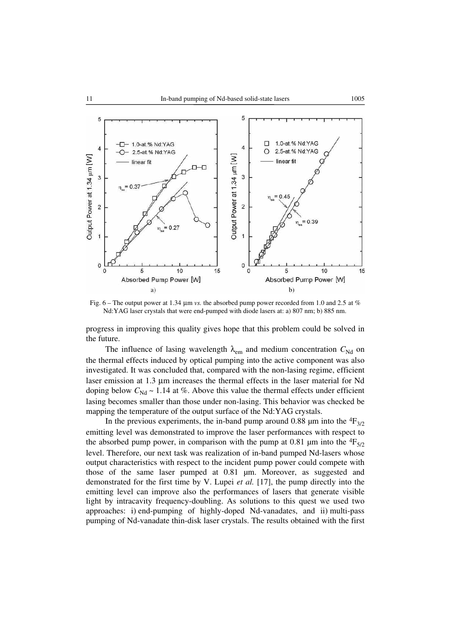

Fig. 6 – The output power at 1.34 μm *vs.* the absorbed pump power recorded from 1.0 and 2.5 at % Nd:YAG laser crystals that were end-pumped with diode lasers at: a) 807 nm; b) 885 nm.

progress in improving this quality gives hope that this problem could be solved in the future.

The influence of lasing wavelength  $\lambda_{em}$  and medium concentration  $C_{Nd}$  on the thermal effects induced by optical pumping into the active component was also investigated. It was concluded that, compared with the non-lasing regime, efficient laser emission at 1.3 μm increases the thermal effects in the laser material for Nd doping below  $C_{\text{Nd}} \sim 1.14$  at %. Above this value the thermal effects under efficient lasing becomes smaller than those under non-lasing. This behavior was checked be mapping the temperature of the output surface of the Nd:YAG crystals.

In the previous experiments, the in-band pump around 0.88 µm into the  ${}^{4}F_{3/2}$ emitting level was demonstrated to improve the laser performances with respect to the absorbed pump power, in comparison with the pump at 0.81 µm into the  ${}^{4}F_{5/2}$ level. Therefore, our next task was realization of in-band pumped Nd-lasers whose output characteristics with respect to the incident pump power could compete with those of the same laser pumped at 0.81 µm. Moreover, as suggested and demonstrated for the first time by V. Lupei *et al.* [17], the pump directly into the emitting level can improve also the performances of lasers that generate visible light by intracavity frequency-doubling. As solutions to this quest we used two approaches: i) end-pumping of highly-doped Nd-vanadates, and ii) multi-pass pumping of Nd-vanadate thin-disk laser crystals. The results obtained with the first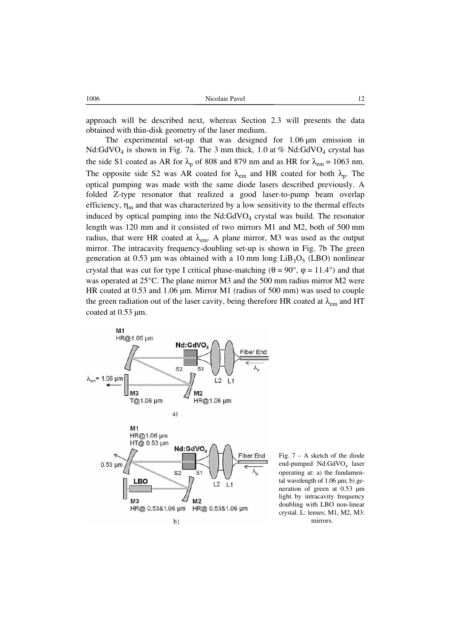approach will be described next, whereas Section 2.3 will presents the data obtained with thin-disk geometry of the laser medium.

The experimental set-up that was designed for  $1.06 \mu m$  emission in Nd:GdVO<sub>4</sub> is shown in Fig. 7a. The 3 mm thick, 1.0 at % Nd:GdVO<sub>4</sub> crystal has the side S1 coated as AR for  $\lambda_p$  of 808 and 879 nm and as HR for  $\lambda_{em} = 1063$  nm. The opposite side S2 was AR coated for  $\lambda_{em}$  and HR coated for both  $\lambda_p$ . The optical pumping was made with the same diode lasers described previously. A folded Z-type resonator that realized a good laser-to-pump beam overlap efficiency,  $\eta_m$  and that was characterized by a low sensitivity to the thermal effects induced by optical pumping into the  $Nd:GdVO<sub>4</sub>$  crystal was build. The resonator length was 120 mm and it consisted of two mirrors M1 and M2, both of 500 mm radius, that were HR coated at  $\lambda_{em}$ . A plane mirror, M3 was used as the output mirror. The intracavity frequency-doubling set-up is shown in Fig. 7b The green generation at 0.53 µm was obtained with a 10 mm long  $LiB<sub>3</sub>O<sub>5</sub>$  (LBO) nonlinear crystal that was cut for type I critical phase-matching ( $\theta = 90^{\circ}$ ,  $\varphi = 11.4^{\circ}$ ) and that was operated at 25°C. The plane mirror M3 and the 500 mm radius mirror M2 were HR coated at  $0.53$  and  $1.06 \mu m$ . Mirror M1 (radius of 500 mm) was used to couple the green radiation out of the laser cavity, being therefore HR coated at  $\lambda_{em}$  and HT coated at 0.53 µm.



Fig.  $7 - A$  sketch of the diode end-pumped Nd:GdVO<sub>4</sub> laser operating at: a) the fundamental wavelength of  $1.06 \mu m$ ; b) generation of green at 0.53 µm light by intracavity frequency doubling with LBO non-linear crystal. L: lenses; M1, M2, M3: mirrors.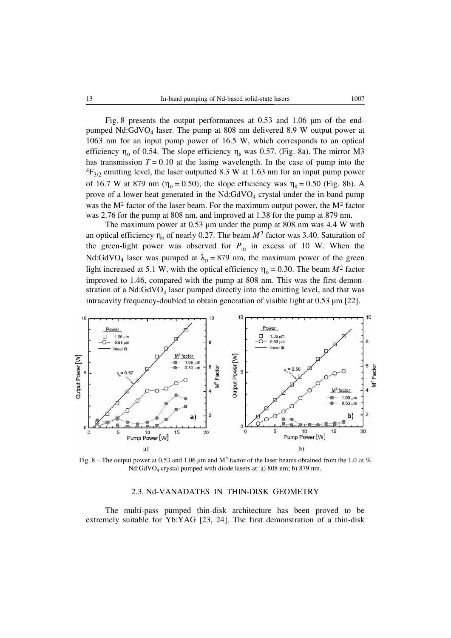Fig. 8 presents the output performances at  $0.53$  and  $1.06 \mu m$  of the endpumped Nd:GdVO4 laser. The pump at 808 nm delivered 8.9 W output power at 1063 nm for an input pump power of 16.5 W, which corresponds to an optical efficiency  $\eta_0$  of 0.54. The slope efficiency  $\eta_s$  was 0.57. (Fig. 8a). The mirror M3 has transmission  $T = 0.10$  at the lasing wavelength. In the case of pump into the  ${}^{4}F_{3/2}$  emitting level, the laser outputted 8.3 W at 1.63 nm for an input pump power of 16.7 W at 879 nm ( $\eta_0 = 0.50$ ); the slope efficiency was  $\eta_s = 0.50$  (Fig. 8b). A prove of a lower heat generated in the  $Nd:GdVO<sub>4</sub>$  crystal under the in-band pump was the  $M^2$  factor of the laser beam. For the maximum output power, the  $M^2$  factor was 2.76 for the pump at 808 nm, and improved at 1.38 for the pump at 879 nm.

The maximum power at  $0.53$  µm under the pump at 808 nm was 4.4 W with an optical efficiency  $\eta_0$  of nearly 0.27. The beam  $M^2$  factor was 3.40. Saturation of the green-light power was observed for  $P_{\text{in}}$  in excess of 10 W. When the Nd:GdVO<sub>4</sub> laser was pumped at  $\lambda_p = 879$  nm, the maximum power of the green light increased at 5.1 W, with the optical efficiency  $\eta_0 = 0.30$ . The beam  $M^2$  factor improved to 1.46, compared with the pump at 808 nm. This was the first demonstration of a  $Nd:GdVO<sub>4</sub>$  laser pumped directly into the emitting level, and that was intracavity frequency-doubled to obtain generation of visible light at 0.53  $\mu$ m [22].



Fig. 8 – The output power at 0.53 and 1.06 µm and M<sup>2</sup> factor of the laser beams obtained from the 1.0 at % Nd:GdVO4 crystal pumped with diode lasers at: a) 808 nm; b) 879 nm.

### 2.3. Nd-VANADATES IN THIN-DISK GEOMETRY

The multi-pass pumped thin-disk architecture has been proved to be extremely suitable for Yb:YAG [23, 24]. The first demonstration of a thin-disk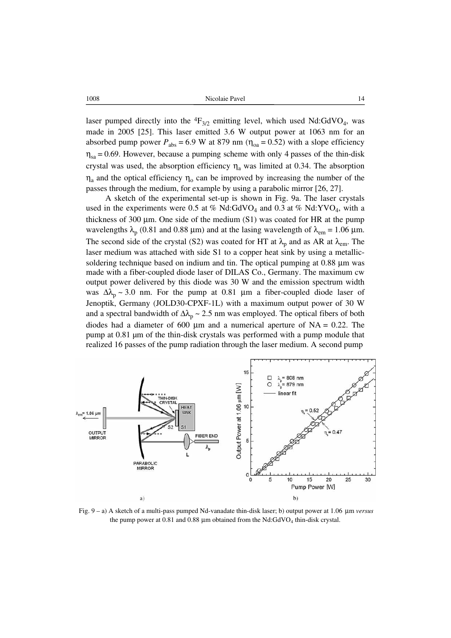laser pumped directly into the  ${}^{4}F_{3/2}$  emitting level, which used Nd:GdVO<sub>4</sub>, was made in 2005 [25]. This laser emitted 3.6 W output power at 1063 nm for an absorbed pump power  $P_{\text{abs}} = 6.9 \text{ W}$  at 879 nm ( $\eta_{\text{oa}} = 0.52$ ) with a slope efficiency  $\eta_{sa} = 0.69$ . However, because a pumping scheme with only 4 passes of the thin-disk crystal was used, the absorption efficiency  $\eta_a$  was limited at 0.34. The absorption  $\eta_a$  and the optical efficiency  $\eta_0$  can be improved by increasing the number of the passes through the medium, for example by using a parabolic mirror [26, 27].

A sketch of the experimental set-up is shown in Fig. 9a. The laser crystals used in the experiments were 0.5 at % Nd:GdVO<sub>4</sub> and 0.3 at % Nd:YVO<sub>4</sub>, with a thickness of 300 μm. One side of the medium (S1) was coated for HR at the pump wavelengths  $\lambda_p$  (0.81 and 0.88 μm) and at the lasing wavelength of  $\lambda_{em} = 1.06$  μm. The second side of the crystal (S2) was coated for HT at  $\lambda_p$  and as AR at  $\lambda_{em}$ . The laser medium was attached with side S1 to a copper heat sink by using a metallicsoldering technique based on indium and tin. The optical pumping at 0.88 um was made with a fiber-coupled diode laser of DILAS Co., Germany. The maximum cw output power delivered by this diode was 30 W and the emission spectrum width was  $\Delta\lambda_p \sim 3.0$  nm. For the pump at 0.81 µm a fiber-coupled diode laser of Jenoptik, Germany (JOLD30-CPXF-1L) with a maximum output power of 30 W and a spectral bandwidth of  $\Delta\lambda_p \sim 2.5$  nm was employed. The optical fibers of both diodes had a diameter of 600  $\mu$ m and a numerical aperture of NA = 0.22. The pump at 0.81 µm of the thin-disk crystals was performed with a pump module that realized 16 passes of the pump radiation through the laser medium. A second pump



 Fig. 9 – a) A sketch of a multi-pass pumped Nd-vanadate thin-disk laser; b) output power at 1.06 μm *versus* the pump power at 0.81 and 0.88  $\mu$ m obtained from the Nd:GdVO<sub>4</sub> thin-disk crystal.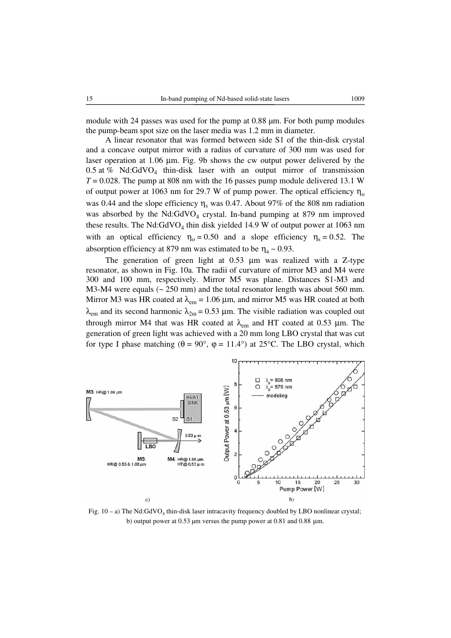module with 24 passes was used for the pump at 0.88  $\mu$ m. For both pump modules the pump-beam spot size on the laser media was 1.2 mm in diameter.

A linear resonator that was formed between side S1 of the thin-disk crystal and a concave output mirror with a radius of curvature of 300 mm was used for laser operation at 1*.*06 μm. Fig. 9b shows the cw output power delivered by the 0.5 at % Nd:GdVO<sub>4</sub> thin-disk laser with an output mirror of transmission *T* = 0.028. The pump at 808 nm with the 16 passes pump module delivered 13.1 W of output power at 1063 nm for 29.7 W of pump power. The optical efficiency  $\eta_0$ was 0.44 and the slope efficiency  $\eta_s$  was 0.47. About 97% of the 808 nm radiation was absorbed by the Nd:GdVO<sub>4</sub> crystal. In-band pumping at 879 nm improved these results. The Nd: $GdVO<sub>4</sub>$  thin disk yielded 14.9 W of output power at 1063 nm with an optical efficiency  $\eta_0 = 0.50$  and a slope efficiency  $\eta_s = 0.52$ . The absorption efficiency at 879 nm was estimated to be  $\eta_a \sim 0.93$ .

The generation of green light at 0.53 μm was realized with a Z-type resonator, as shown in Fig. 10a. The radii of curvature of mirror M3 and M4 were 300 and 100 mm, respectively. Mirror M5 was plane. Distances S1-M3 and M3-M4 were equals (~ 250 mm) and the total resonator length was about 560 mm. Mirror M3 was HR coated at  $\lambda_{em} = 1.06 \,\mu$ m, and mirror M5 was HR coated at both  $λ_{em}$  and its second harmonic  $λ_{20} = 0.53 \mu$ m. The visible radiation was coupled out through mirror M4 that was HR coated at  $\lambda_{em}$  and HT coated at 0.53 µm. The generation of green light was achieved with a 20 mm long LBO crystal that was cut for type I phase matching ( $\theta = 90^{\circ}$ ,  $\phi = 11.4^{\circ}$ ) at 25<sup>o</sup>C. The LBO crystal, which



Fig.  $10 - a$ ) The Nd:GdVO<sub>4</sub> thin-disk laser intracavity frequency doubled by LBO nonlinear crystal; b) output power at  $0.53 \mu m$  versus the pump power at  $0.81$  and  $0.88 \mu m$ .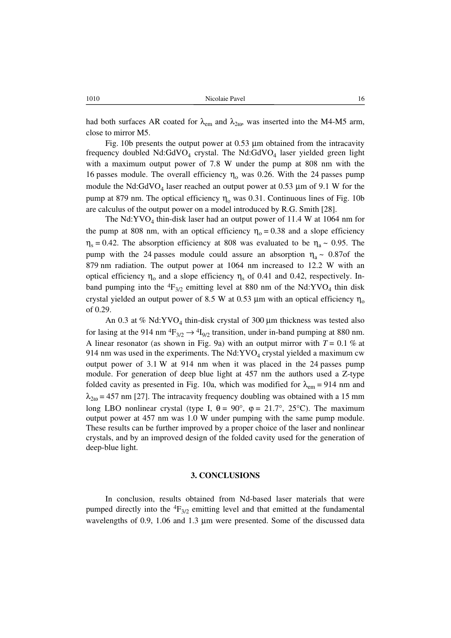had both surfaces AR coated for  $\lambda_{\rm em}$  and  $\lambda_{\rm 20}$ , was inserted into the M4-M5 arm, close to mirror M5.

Fig. 10b presents the output power at 0*.*53 μm obtained from the intracavity frequency doubled  $Nd:GdVO<sub>4</sub>$  crystal. The  $Nd:GdVO<sub>4</sub>$  laser yielded green light with a maximum output power of 7*.*8 W under the pump at 808 nm with the 16 passes module. The overall efficiency  $\eta_0$  was 0.26. With the 24 passes pump module the Nd:GdVO<sub>4</sub> laser reached an output power at 0.53  $\mu$ m of 9.1 W for the pump at 879 nm. The optical efficiency  $\eta_0$  was 0.31. Continuous lines of Fig. 10b are calculus of the output power on a model introduced by R.G. Smith [28].

The Nd: YVO<sub>4</sub> thin-disk laser had an output power of 11.4 W at 1064 nm for the pump at 808 nm, with an optical efficiency  $\eta_0 = 0.38$  and a slope efficiency  $\eta_s = 0.42$ . The absorption efficiency at 808 was evaluated to be  $\eta_a \sim 0.95$ . The pump with the 24 passes module could assure an absorption  $\eta_a \sim 0.87$  of the 879 nm radiation. The output power at 1064 nm increased to 12.2 W with an optical efficiency  $η_0$  and a slope efficiency  $η_s$  of 0.41 and 0.42, respectively. Inband pumping into the  ${}^{4}F_{3/2}$  emitting level at 880 nm of the Nd:YVO<sub>4</sub> thin disk crystal yielded an output power of 8.5 W at 0.53  $\mu$ m with an optical efficiency  $\eta_0$ of 0.29.

An 0.3 at % Nd:YVO<sub>4</sub> thin-disk crystal of 300  $\mu$ m thickness was tested also for lasing at the 914 nm  ${}^4F_{3/2} \rightarrow {}^4I_{9/2}$  transition, under in-band pumping at 880 nm. A linear resonator (as shown in Fig. 9a) with an output mirror with  $T = 0.1$  % at 914 nm was used in the experiments. The Nd:  $\text{YVO}_4$  crystal yielded a maximum cw output power of 3.1 W at 914 nm when it was placed in the 24 passes pump module. For generation of deep blue light at 457 nm the authors used a Z-type folded cavity as presented in Fig. 10a, which was modified for  $\lambda_{em} = 914$  nm and  $\lambda_{2\omega}$  = 457 nm [27]. The intracavity frequency doubling was obtained with a 15 mm long LBO nonlinear crystal (type I, θ = 90°, φ = 21.7°, 25°C). The maximum output power at 457 nm was 1.0 W under pumping with the same pump module. These results can be further improved by a proper choice of the laser and nonlinear crystals, and by an improved design of the folded cavity used for the generation of deep-blue light.

### **3. CONCLUSIONS**

In conclusion, results obtained from Nd-based laser materials that were pumped directly into the  ${}^{4}F_{3/2}$  emitting level and that emitted at the fundamental wavelengths of 0.9, 1.06 and 1.3 μm were presented. Some of the discussed data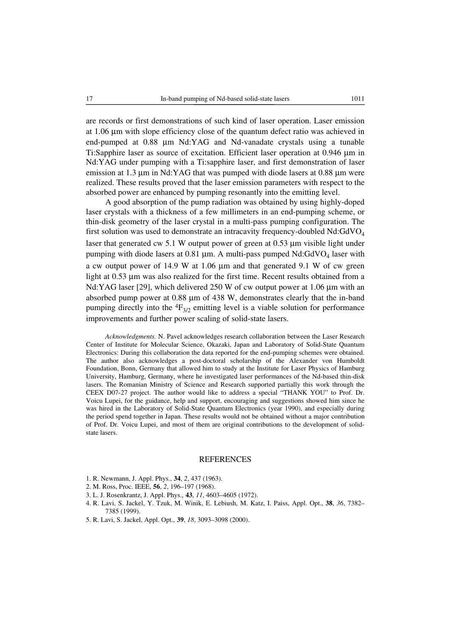are records or first demonstrations of such kind of laser operation. Laser emission at 1.06 μm with slope efficiency close of the quantum defect ratio was achieved in end-pumped at 0.88 μm Nd:YAG and Nd-vanadate crystals using a tunable Ti:Sapphire laser as source of excitation. Efficient laser operation at 0.946 μm in Nd:YAG under pumping with a Ti:sapphire laser, and first demonstration of laser emission at 1.3 μm in Nd:YAG that was pumped with diode lasers at 0.88 μm were realized. These results proved that the laser emission parameters with respect to the absorbed power are enhanced by pumping resonantly into the emitting level.

A good absorption of the pump radiation was obtained by using highly-doped laser crystals with a thickness of a few millimeters in an end-pumping scheme, or thin-disk geometry of the laser crystal in a multi-pass pumping configuration. The first solution was used to demonstrate an intracavity frequency-doubled Nd:GdVO<sub>4</sub> laser that generated cw 5.1 W output power of green at 0.53 μm visible light under pumping with diode lasers at 0.81  $\mu$ m. A multi-pass pumped Nd:GdVO<sub>4</sub> laser with a cw output power of 14.9 W at 1.06 μm and that generated 9.1 W of cw green light at 0.53 μm was also realized for the first time. Recent results obtained from a Nd:YAG laser [29], which delivered 250 W of cw output power at 1.06 μm with an absorbed pump power at 0.88 μm of 438 W, demonstrates clearly that the in-band pumping directly into the  ${}^{4}F_{3/2}$  emitting level is a viable solution for performance improvements and further power scaling of solid-state lasers.

*Acknowledgments.* N. Pavel acknowledges research collaboration between the Laser Research Center of Institute for Molecular Science, Okazaki, Japan and Laboratory of Solid-State Quantum Electronics: During this collaboration the data reported for the end-pumping schemes were obtained. The author also acknowledges a post-doctoral scholarship of the Alexander von Humboldt Foundation, Bonn, Germany that allowed him to study at the Institute for Laser Physics of Hamburg University, Hamburg, Germany, where he investigated laser performances of the Nd-based thin-disk lasers. The Romanian Ministry of Science and Research supported partially this work through the CEEX D07-27 project. The author would like to address a special "THANK YOU" to Prof. Dr. Voicu Lupei, for the guidance, help and support, encouraging and suggestions showed him since he was hired in the Laboratory of Solid-State Quantum Electronics (year 1990), and especially during the period spend together in Japan. These results would not be obtained without a major contribution of Prof. Dr. Voicu Lupei, and most of them are original contributions to the development of solidstate lasers.

### REFERENCES

- 1. R. Newmann, J. Appl. Phys., **34**, *2*, 437 (1963).
- 2. M. Ross, Proc. IEEE, **56**, *2*, 196–197 (1968).
- 3. L. J. Rosenkrantz, J. Appl. Phys., **43**, *11*, 4603–4605 (1972).
- 4. R. Lavi, S. Jackel, Y. Tzuk, M. Winik, E. Lebiush, M. Katz, I. Paiss, Appl. Opt., **38**, *36*, 7382– 7385 (1999).
- 5. R. Lavi, S. Jackel, Appl. Opt., **39**, *18*, 3093–3098 (2000).